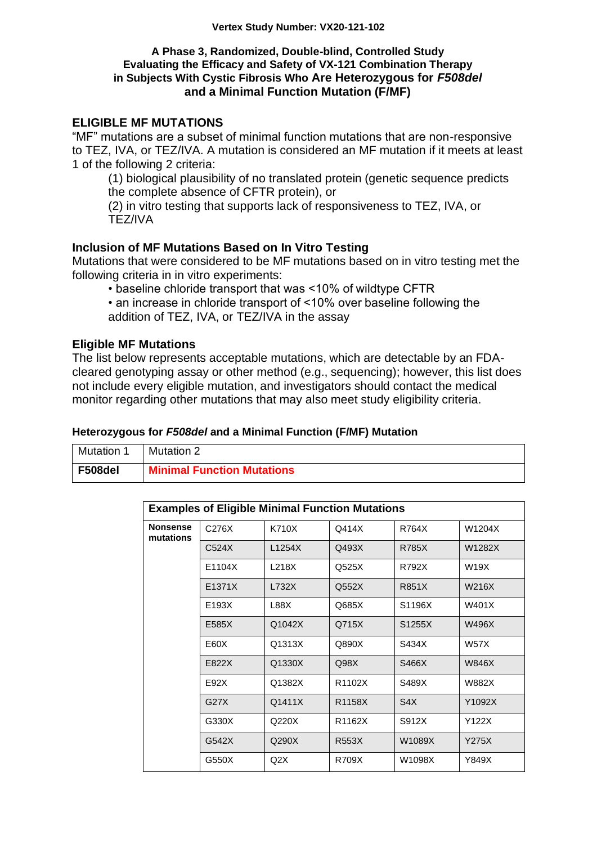### **A Phase 3, Randomized, Double-blind, Controlled Study Evaluating the Efficacy and Safety of VX-121 Combination Therapy in Subjects With Cystic Fibrosis Who Are Heterozygous for** *F508del* **and a Minimal Function Mutation (F/MF)**

# **ELIGIBLE MF MUTATIONS**

"MF" mutations are a subset of minimal function mutations that are non-responsive to TEZ, IVA, or TEZ/IVA. A mutation is considered an MF mutation if it meets at least 1 of the following 2 criteria:

(1) biological plausibility of no translated protein (genetic sequence predicts the complete absence of CFTR protein), or

(2) in vitro testing that supports lack of responsiveness to TEZ, IVA, or TEZ/IVA

## **Inclusion of MF Mutations Based on In Vitro Testing**

Mutations that were considered to be MF mutations based on in vitro testing met the following criteria in in vitro experiments:

• baseline chloride transport that was <10% of wildtype CFTR

• an increase in chloride transport of <10% over baseline following the

addition of TEZ, IVA, or TEZ/IVA in the assay

## **Eligible MF Mutations**

The list below represents acceptable mutations, which are detectable by an FDAcleared genotyping assay or other method (e.g., sequencing); however, this list does not include every eligible mutation, and investigators should contact the medical monitor regarding other mutations that may also meet study eligibility criteria.

#### **Heterozygous for** *F508del* **and a Minimal Function (F/MF) Mutation**

| Mutation | Mutation 2                        |
|----------|-----------------------------------|
| F508del  | <b>Minimal Function Mutations</b> |

| <b>Examples of Eligible Minimal Function Mutations</b> |        |        |        |                  |              |
|--------------------------------------------------------|--------|--------|--------|------------------|--------------|
| <b>Nonsense</b><br>mutations                           | C276X  | K710X  | Q414X  | R764X            | W1204X       |
|                                                        | C524X  | L1254X | Q493X  | <b>R785X</b>     | W1282X       |
|                                                        | E1104X | L218X  | Q525X  | R792X            | W19X         |
|                                                        | E1371X | L732X  | Q552X  | R851X            | W216X        |
|                                                        | E193X  | L88X   | Q685X  | S1196X           | W401X        |
|                                                        | E585X  | Q1042X | Q715X  | S1255X           | W496X        |
|                                                        | E60X   | Q1313X | Q890X  | S434X            | <b>W57X</b>  |
|                                                        | E822X  | Q1330X | Q98X   | S466X            | <b>W846X</b> |
|                                                        | E92X   | Q1382X | R1102X | S489X            | W882X        |
|                                                        | G27X   | Q1411X | R1158X | S <sub>4</sub> X | Y1092X       |
|                                                        | G330X  | Q220X  | R1162X | S912X            | Y122X        |
|                                                        | G542X  | Q290X  | R553X  | W1089X           | Y275X        |
|                                                        | G550X  | Q2X    | R709X  | W1098X           | Y849X        |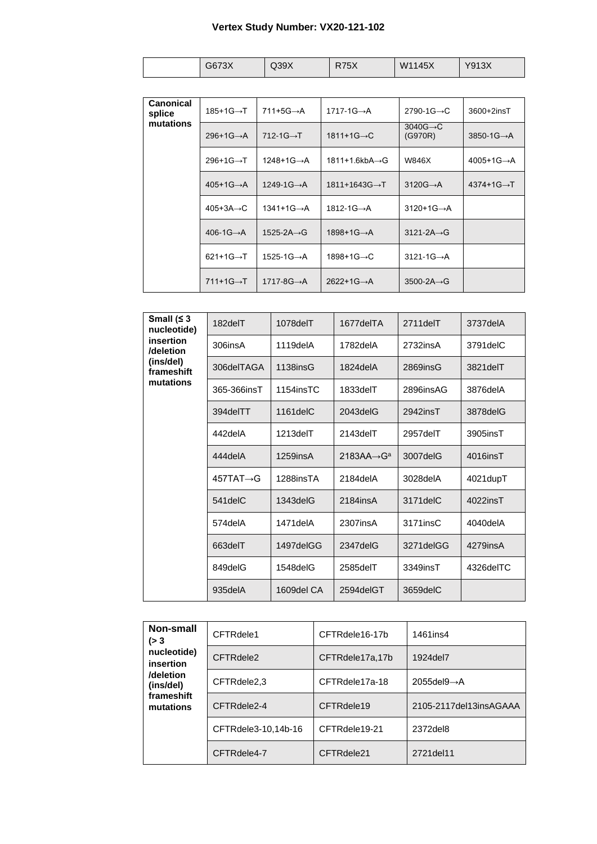# **Vertex Study Number: VX20-121-102**

|  | 2673Y<br>∧ט וטט | Q39X | R75X | W1145X | Y913X<br>∧ت⊦ |
|--|-----------------|------|------|--------|--------------|
|--|-----------------|------|------|--------|--------------|

| <b>Canonical</b><br>splice | $185+1G \rightarrow T$  | $711+5G \rightarrow A$    | $1717-1G \rightarrow A$    | $2790-1G \rightarrow C$          | 3600+2insT              |
|----------------------------|-------------------------|---------------------------|----------------------------|----------------------------------|-------------------------|
| mutations                  | $296+1G \rightarrow A$  | 712-1 $G \rightarrow T$   | $1811+1G \rightarrow C$    | $3040G \rightarrow C$<br>(G970R) | $3850-1G \rightarrow A$ |
|                            | $296+1G \rightarrow T$  | $1248+1G \rightarrow A$   | 1811+1.6kbA→G              | W846X                            | $4005+1G \rightarrow A$ |
|                            | $405+1G \rightarrow A$  | $1249-1G \rightarrow A$   | $1811+1643G \rightarrow T$ | $3120G \rightarrow A$            | $4374+1G \rightarrow T$ |
|                            | $405+3A \rightarrow C$  | $1341+1G \rightarrow A$   | $1812 - 1G \rightarrow A$  | $3120+1G \rightarrow A$          |                         |
|                            | 406-1 $G \rightarrow A$ | $1525 - 2A \rightarrow G$ | $1898+1G \rightarrow A$    | $3121 - 2A \rightarrow G$        |                         |
|                            | $621+1G \rightarrow T$  | $1525-1G \rightarrow A$   | 1898+1G→C                  | $3121 - 1G \rightarrow A$        |                         |
|                            | $711+1G \rightarrow T$  | $1717 - 8G \rightarrow A$ | $2622+1G \rightarrow A$    | $3500 - 2A \rightarrow G$        |                         |
|                            |                         |                           |                            |                                  |                         |

| Small $(≤ 3)$<br>nucleotide)                                   | 182delT                | 1078delT       | 1677delTA               | 2711delT    | 3737delA   |
|----------------------------------------------------------------|------------------------|----------------|-------------------------|-------------|------------|
| insertion<br>/deletion<br>(ins/del)<br>frameshift<br>mutations | 306insA                | 1119delA       | 1782delA                | 2732insA    | 3791 del C |
|                                                                | 306delTAGA             | 1138insG       | 1824 del A              | $2869$ insG | 3821delT   |
|                                                                | 365-366insT            | 1154insTC      | 1833delT                | 2896insAG   | 3876delA   |
|                                                                | 394delTT               | $1161$ del $C$ | 2043delG                | 2942insT    | 3878delG   |
|                                                                | 442delA                | 1213delT       | 2143delT                | 2957delT    | 3905insT   |
|                                                                | 444delA                | $1259$ ins $A$ | 2183AA $\rightarrow$ Ga | 3007delG    | 4016insT   |
|                                                                | $457TAT \rightarrow G$ | 1288insTA      | 2184delA                | 3028delA    | 4021dupT   |
|                                                                | 541 del C              | $1343$ del $G$ | 2184insA                | 3171 del C  | 4022insT   |
|                                                                | 574delA                | 1471delA       | 2307insA                | 3171insC    | 4040delA   |
|                                                                | 663delT                | 1497delGG      | 2347delG                | 3271delGG   | 4279insA   |
|                                                                | 849delG                | 1548delG       | 2585delT                | 3349insT    | 4326delTC  |
|                                                                | 935delA                | 1609del CA     | 2594delGT               | 3659delC    |            |

| Non-small<br>( > 3)<br>nucleotide)<br>insertion<br>/deletion<br>(ins/del) | CFTRdele1           | CFTRdele16-17b  | 1461ins4                 |
|---------------------------------------------------------------------------|---------------------|-----------------|--------------------------|
|                                                                           | CFTRdele2           | CFTRdele17a,17b | 1924del7                 |
|                                                                           | CFTRdele2,3         | CFTRdele17a-18  | 2055del9 $\rightarrow$ A |
| frameshift<br>mutations                                                   | CFTRdele2-4         | CFTRdele19      | 2105-2117del13insAGAAA   |
|                                                                           | CFTRdele3-10,14b-16 | CFTRdele19-21   | 2372del8                 |
|                                                                           | CFTRdele4-7         | CFTRdele21      | 2721del11                |